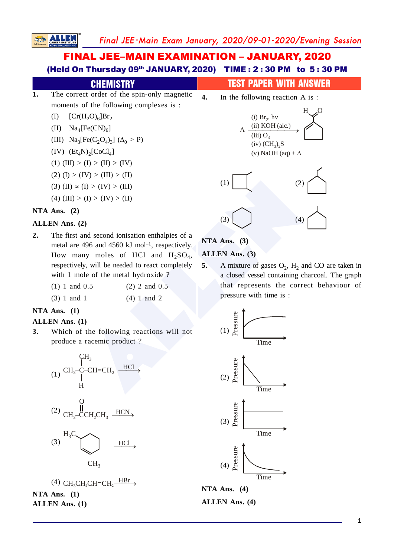### FINAL JEE–MAIN EXAMINATION – JANUARY, 2020 (Held On Thursday 09th JANUARY, 2020) TIME : 2 : 30 PM to 5 : 30 PM

# **1.** The correct order of the spin-only magnetic moments of the following complexes is :

(I)  $[Cr(H<sub>2</sub>O)<sub>6</sub>]Br<sub>2</sub>$ 

- (II)  $\text{Na}_4[\text{Fe(CN)}_6]$
- (III)  $\text{Na}_3[\text{Fe}(C_2O_4)_3]$  ( $\Delta_0 > P$ )

$$
(IV) (Et_4N)_2[CoCl_4]
$$

- (1) (III) > (I) > (II) > (IV)
- (2) (I) > (IV) > (III) > (II)
- (3) (II)  $\approx$  (I)  $>$  (IV)  $>$  (III)
- (4) (III) > (I) > (IV) > (II)



**SALLE** 

#### **ALLEN Ans. (2)**

**2.** The first and second ionisation enthalpies of a metal are 496 and 4560 kJ mol–1, respectively. How many moles of HCl and  $H_2SO_4$ , respectively, will be needed to react completely with 1 mole of the metal hydroxide?

| $(1)$ 1 and 0.5 |  |  | $(2)$ 2 and $0.\overline{5}$ |  |  |
|-----------------|--|--|------------------------------|--|--|
|-----------------|--|--|------------------------------|--|--|

(3) 1 and 1 (4) 1 and 2

#### **NTA Ans. (1)**

#### **ALLEN Ans. (1)**

**3.** Which of the following reactions will not produce a racemic product ?



**ALLEN Ans. (1)**

### **CHEMISTRY TEST PAPER WITH ANSWER**



#### **NTA Ans. (3)**

**ALLEN Ans. (3)**

**5.** A mixture of gases  $O_2$ ,  $H_2$  and CO are taken in a closed vessel containing charcoal. The graph that represents the correct behaviour of pressure with time is :

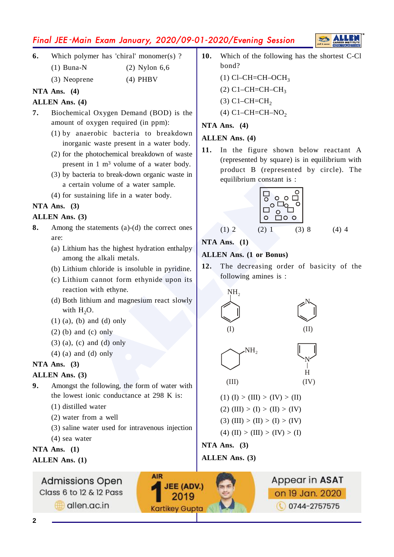### Final JEE -Main Exam January, 2020/09-01-2020/Evening Session

- **6.** Which polymer has 'chiral' monomer(s) ? (1) Buna-N (2) Nylon 6,6
	- (3) Neoprene (4) PHBV
- -
- **NTA Ans. (4)**

#### **ALLEN Ans. (4)**

- **7.** Biochemical Oxygen Demand (BOD) is the amount of oxygen required (in ppm):
	- (1) by anaerobic bacteria to breakdown inorganic waste present in a water body.
	- (2) for the photochemical breakdown of waste present in 1 m <sup>3</sup> volume of a water body.
	- (3) by bacteria to break-down organic waste in a certain volume of a water sample.
	- (4) for sustaining life in a water body.

#### **NTA Ans. (3)**

#### **ALLEN Ans. (3)**

- **8.** Among the statements (a)-(d) the correct ones are:
	- (a) Lithium has the highest hydration enthalpy among the alkali metals.
	- (b) Lithium chloride is insoluble in pyridine.
	- (c) Lithium cannot form ethynide upon its reaction with ethyne.
	- (d) Both lithium and magnesium react slowly with  $H_2O$ .
	- (1) (a), (b) and (d) only
	- (2) (b) and (c) only
	- (3) (a), (c) and (d) only
	- (4) (a) and (d) only

#### **NTA Ans. (3)**

#### **ALLEN Ans. (3)**

- **9.** Amongst the following, the form of water with the lowest ionic conductance at 298 K is:
	- (1) distilled water
	- (2) water from a well
	- (3) saline water used for intravenous injection

**AIR** 

**JEE (ADV.)** 

2019

**Kartikey Gupta** 

(4) sea water

**NTA Ans. (1) ALLEN Ans. (1)**

> **Admissions Open** Class 6 to 12 & 12 Pass

> > dlen.ac.in

**10.** Which of the following has the shortest C-Cl bond?

 $(1)$  Cl–CH=CH–OCH<sub>3</sub>

- (2)  $C1 CH = CH CH_3$
- $(3)$  C1–CH=CH<sub>2</sub>
- (4)  $C1 CH = CH NO_2$

### **NTA Ans. (4)**

#### **ALLEN Ans. (4)**

**11.** In the figure shown below reactant A (represented by square) is in equilibrium with product B (represented by circle). The equilibrium constant is :



**NTA Ans. (1)**

**ALLEN Ans. (1 or Bonus)**

**12.** The decreasing order of basicity of the following amines is :



**0744-2757575** 

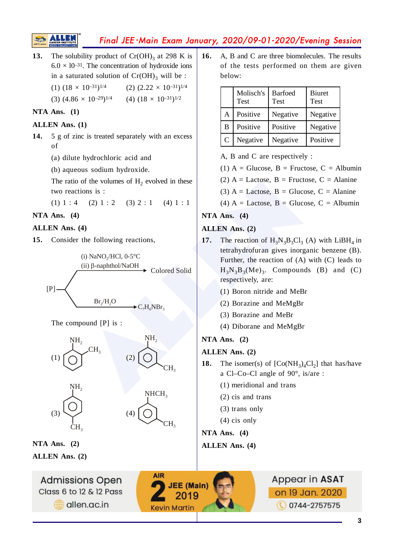#### **ALLEN** S

## Final JEE -Main Exam January, 2020/09-01-2020/Evening Session

**13.** The solubility product of  $Cr(OH)_3$  at 298 K is  $6.0 \times 10^{-31}$ . The concentration of hydroxide ions in a saturated solution of  $Cr(OH)_3$  will be :

> $(1)$   $(18 \times 10^{-31})$  $1/4$  (2)  $(2.22 \times 10^{-31})^{1/4}$

 $(3)$   $(4.86 \times 10^{-29})$  $1/4$  (4)  $(18 \times 10^{-31})^{1/2}$ 

#### **NTA Ans. (1)**

#### **ALLEN Ans. (1)**

- **14.** 5 g of zinc is treated separately with an excess of
	- (a) dilute hydrochloric acid and
	- (b) aqueous sodium hydroxide.

The ratio of the volumes of  $H_2$  evolved in these two reactions is :

(1)  $1 : 4$  (2)  $1 : 2$  (3)  $2 : 1$  (4)  $1 : 1$ 

#### **NTA Ans. (4)**

#### **ALLEN Ans. (4)**

**15.** Consider the following reactions,



The compound [P] is :



**AIR** 

**JEE** (Main)

2019

**Kevin Martin** 

**Admissions Open** Class 6 to 12 & 12 Pass allen.ac.in



|               | Molisch's<br>Test | <b>Barfoed</b><br>Test | <b>Biuret</b><br>Test |
|---------------|-------------------|------------------------|-----------------------|
| A             | Positive          | Negative               | Negative              |
| B             | Positive          | Positive               | Negative              |
| $\mathcal{C}$ | Negative          | Negative               | Positive              |

A, B and C are respectively :

- (1)  $A = Glucose$ ,  $B = Fructose$ ,  $C = Albumin$
- (2)  $A =$  Lactose,  $B =$  Fructose,  $C =$  Alanine
- (3)  $A = \text{Lactose}, B = \text{Glucose}, C = \text{Alanine}$
- (4)  $A =$  Lactose,  $B =$  Glucose,  $C =$  Albumin

#### **NTA Ans. (4)**

#### **ALLEN Ans. (2)**

- **17.** The reaction of  $H_3N_3B_3Cl_3$  (A) with LiBH<sub>4</sub> in tetrahydrofuran gives inorganic benzene (B). Further, the reaction of (A) with (C) leads to  $H_3N_3B_3(Me)_3$ . Compounds (B) and (C) respectively, are:
	- (1) Boron nitride and MeBr
	- (2) Borazine and MeMgBr
	- (3) Borazine and MeBr
	- (4) Diborane and MeMgBr

#### **NTA Ans. (2)**

#### **ALLEN Ans. (2)**

- **18.** The isomer(s) of  $[Co(NH_3)_4Cl_2]$  that has/have a Cl–Co–Cl angle of 90°, is/are :
	- (1) meridional and trans
	- (2) cis and trans
	- (3) trans only
	- (4) cis only

**NTA Ans. (4)**

**ALLEN Ans. (4)**